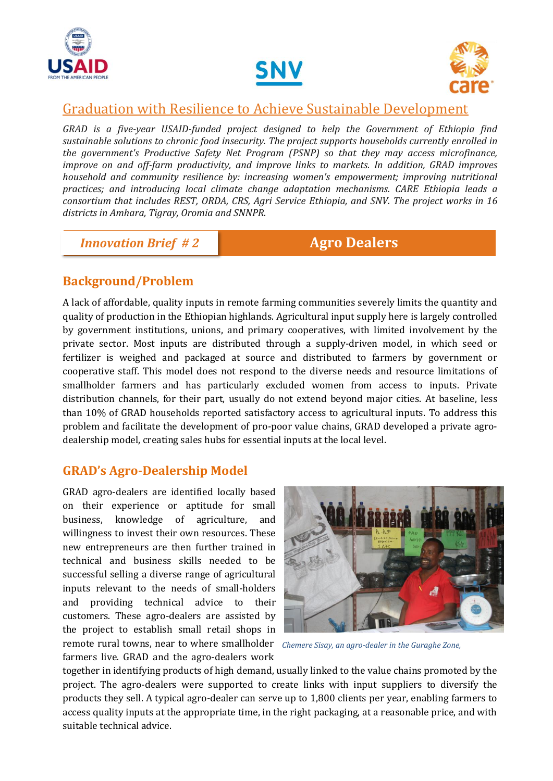





## Graduation with Resilience to Achieve Sustainable Development

*GRAD is a five-year USAID-funded project designed to help the Government of Ethiopia find sustainable solutions to chronic food insecurity. The project supports households currently enrolled in the government's Productive Safety Net Program (PSNP) so that they may access microfinance, improve on and off-farm productivity, and improve links to markets. In addition, GRAD improves household and community resilience by: increasing women's empowerment; improving nutritional practices; and introducing local climate change adaptation mechanisms. CARE Ethiopia leads a consortium that includes REST, ORDA, CRS, Agri Service Ethiopia, and SNV. The project works in 16 districts in Amhara, Tigray, Oromia and SNNPR*.

# *Innovation Brief # 2* **Agro Dealers**

## **Background/Problem**

A lack of affordable, quality inputs in remote farming communities severely limits the quantity and quality of production in the Ethiopian highlands. Agricultural input supply here is largely controlled by government institutions, unions, and primary cooperatives, with limited involvement by the private sector. Most inputs are distributed through a supply-driven model, in which seed or fertilizer is weighed and packaged at source and distributed to farmers by government or cooperative staff. This model does not respond to the diverse needs and resource limitations of smallholder farmers and has particularly excluded women from access to inputs. Private distribution channels, for their part, usually do not extend beyond major cities. At baseline, less than 10% of GRAD households reported satisfactory access to agricultural inputs. To address this problem and facilitate the development of pro-poor value chains, GRAD developed a private agrodealership model, creating sales hubs for essential inputs at the local level.

#### **GRAD's Agro-Dealership Model**

remote rural towns, near to where smallholder Chemere Sisay, an agro-dealer in the Guraghe Zone, GRAD agro-dealers are identified locally based on their experience or aptitude for small business, knowledge of agriculture, and willingness to invest their own resources. These new entrepreneurs are then further trained in technical and business skills needed to be successful selling a diverse range of agricultural inputs relevant to the needs of small-holders and providing technical advice to their customers. These agro-dealers are assisted by the project to establish small retail shops in farmers live. GRAD and the agro-dealers work



together in identifying products of high demand, usually linked to the value chains promoted by the project. The agro-dealers were supported to create links with input suppliers to diversify the products they sell. A typical agro-dealer can serve up to 1,800 clients per year, enabling farmers to access quality inputs at the appropriate time, in the right packaging, at a reasonable price, and with suitable technical advice.